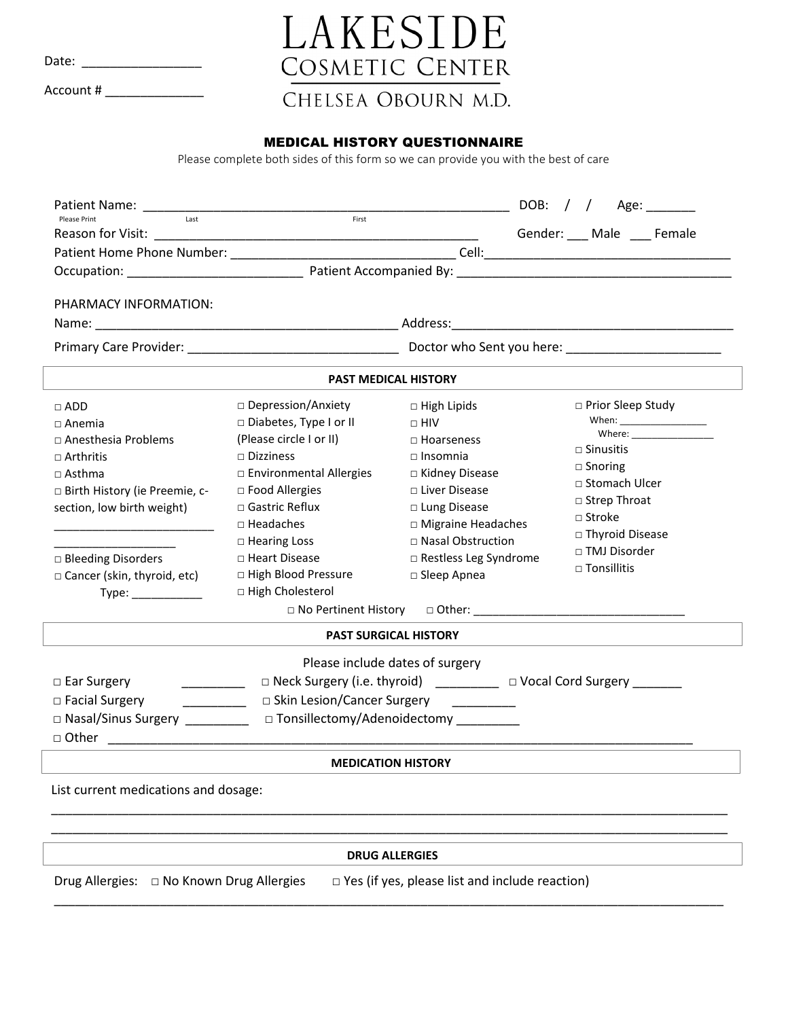Date: \_\_\_\_\_\_\_\_\_\_\_\_\_\_\_\_\_

Account # \_\_\_\_\_\_\_\_\_\_\_\_\_\_

## LAKESIDE COSMETIC CENTER

## CHELSEA OBOURN M.D.

## MEDICAL HISTORY QUESTIONNAIRE

Please complete both sides of this form so we can provide you with the best of care

| Patient Name: Name: Name: Name: Name: Name: Name: Name: Name: Name: Name: Name: Name: Name: Name: Name: Name: N<br>Last<br>Please Print                                                                                                                                                                                                                                                                                                                                                                                                            | First                                                                                                                                                                                                                                                                                                       |                                                                                                                                                                                                                                   | DOB:<br>Age: $\_\_$                                                                                                                                                             |  |
|----------------------------------------------------------------------------------------------------------------------------------------------------------------------------------------------------------------------------------------------------------------------------------------------------------------------------------------------------------------------------------------------------------------------------------------------------------------------------------------------------------------------------------------------------|-------------------------------------------------------------------------------------------------------------------------------------------------------------------------------------------------------------------------------------------------------------------------------------------------------------|-----------------------------------------------------------------------------------------------------------------------------------------------------------------------------------------------------------------------------------|---------------------------------------------------------------------------------------------------------------------------------------------------------------------------------|--|
|                                                                                                                                                                                                                                                                                                                                                                                                                                                                                                                                                    |                                                                                                                                                                                                                                                                                                             |                                                                                                                                                                                                                                   | Gender: ___ Male ___ Female                                                                                                                                                     |  |
|                                                                                                                                                                                                                                                                                                                                                                                                                                                                                                                                                    |                                                                                                                                                                                                                                                                                                             |                                                                                                                                                                                                                                   |                                                                                                                                                                                 |  |
|                                                                                                                                                                                                                                                                                                                                                                                                                                                                                                                                                    |                                                                                                                                                                                                                                                                                                             |                                                                                                                                                                                                                                   |                                                                                                                                                                                 |  |
| PHARMACY INFORMATION:                                                                                                                                                                                                                                                                                                                                                                                                                                                                                                                              |                                                                                                                                                                                                                                                                                                             |                                                                                                                                                                                                                                   |                                                                                                                                                                                 |  |
|                                                                                                                                                                                                                                                                                                                                                                                                                                                                                                                                                    |                                                                                                                                                                                                                                                                                                             |                                                                                                                                                                                                                                   |                                                                                                                                                                                 |  |
|                                                                                                                                                                                                                                                                                                                                                                                                                                                                                                                                                    |                                                                                                                                                                                                                                                                                                             | <b>PAST MEDICAL HISTORY</b>                                                                                                                                                                                                       |                                                                                                                                                                                 |  |
| $\Box$ ADD<br>$\Box$ Anemia<br>$\Box$ Anesthesia Problems<br>$\sqcap$ Arthritis<br>$\Box$ Asthma<br>□ Birth History (ie Preemie, c-<br>section, low birth weight)<br>□ Bleeding Disorders<br>□ Cancer (skin, thyroid, etc)                                                                                                                                                                                                                                                                                                                         | □ Depression/Anxiety<br>□ Diabetes, Type I or II<br>(Please circle I or II)<br>$\Box$ Dizziness<br>□ Environmental Allergies<br>□ Food Allergies<br>$\Box$ Gastric Reflux<br>$\Box$ Headaches<br>□ Hearing Loss<br>□ Heart Disease<br>□ High Blood Pressure<br>□ High Cholesterol<br>□ No Pertinent History | $\Box$ High Lipids<br>$\Box$ HIV<br>$\Box$ Hoarseness<br>$\Box$ Insomnia<br>$\Box$ Kidney Disease<br>□ Liver Disease<br>□ Lung Disease<br>□ Migraine Headaches<br>□ Nasal Obstruction<br>□ Restless Leg Syndrome<br>□ Sleep Apnea | □ Prior Sleep Study<br>$\Box$ Sinusitis<br>$\Box$ Snoring<br>□ Stomach Ulcer<br>□ Strep Throat<br>$\square$ Stroke<br>□ Thyroid Disease<br>□ TMJ Disorder<br>$\Box$ Tonsillitis |  |
|                                                                                                                                                                                                                                                                                                                                                                                                                                                                                                                                                    | <b>PAST SURGICAL HISTORY</b>                                                                                                                                                                                                                                                                                |                                                                                                                                                                                                                                   |                                                                                                                                                                                 |  |
| Please include dates of surgery<br>□ Neck Surgery (i.e. thyroid) __________ □ Vocal Cord Surgery _______<br>□ Ear Surgery<br>$\frac{1}{2}$ . The contract of $\frac{1}{2}$<br>□ Skin Lesion/Cancer Surgery<br>□ Facial Surgery<br>□ Nasal/Sinus Surgery _________<br>□ Tonsillectomy/Adenoidectomy ________<br>□ Other <u>2000 - 2000 - 2000 - 2000 - 2000 - 2000 - 2000 - 2000 - 2000 - 2000 - 2000 - 2000 - 2000 - 2000 - 2000 - 2000 - 2000 - 2000 - 2000 - 2000 - 2000 - 2000 - 2000 - 2000 - 2000 - 2000 - 2000 - 2000 - 2000 - 2000 - 20</u> |                                                                                                                                                                                                                                                                                                             |                                                                                                                                                                                                                                   |                                                                                                                                                                                 |  |
|                                                                                                                                                                                                                                                                                                                                                                                                                                                                                                                                                    |                                                                                                                                                                                                                                                                                                             | <b>MEDICATION HISTORY</b>                                                                                                                                                                                                         |                                                                                                                                                                                 |  |
| List current medications and dosage:                                                                                                                                                                                                                                                                                                                                                                                                                                                                                                               |                                                                                                                                                                                                                                                                                                             |                                                                                                                                                                                                                                   |                                                                                                                                                                                 |  |
|                                                                                                                                                                                                                                                                                                                                                                                                                                                                                                                                                    |                                                                                                                                                                                                                                                                                                             | <b>DRUG ALLERGIES</b>                                                                                                                                                                                                             |                                                                                                                                                                                 |  |
| Drug Allergies: □ No Known Drug Allergies                                                                                                                                                                                                                                                                                                                                                                                                                                                                                                          |                                                                                                                                                                                                                                                                                                             | $\Box$ Yes (if yes, please list and include reaction)                                                                                                                                                                             |                                                                                                                                                                                 |  |

\_\_\_\_\_\_\_\_\_\_\_\_\_\_\_\_\_\_\_\_\_\_\_\_\_\_\_\_\_\_\_\_\_\_\_\_\_\_\_\_\_\_\_\_\_\_\_\_\_\_\_\_\_\_\_\_\_\_\_\_\_\_\_\_\_\_\_\_\_\_\_\_\_\_\_\_\_\_\_\_\_\_\_\_\_\_\_\_\_\_\_\_\_\_\_